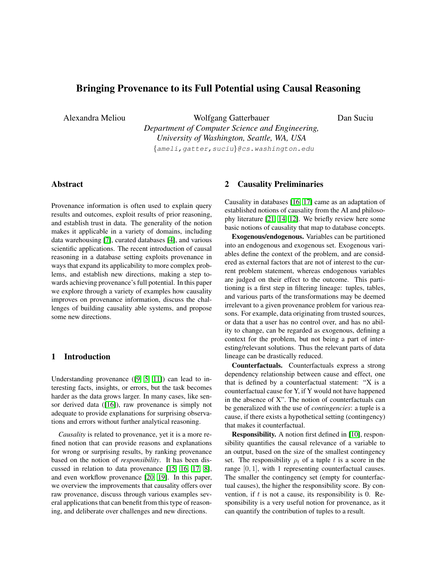# Bringing Provenance to its Full Potential using Causal Reasoning

Alexandra Meliou Wolfgang Gatterbauer *Department of Computer Science and Engineering, University of Washington, Seattle, WA, USA* {ameli,gatter,suciu}@cs.washington.edu

# Abstract

Provenance information is often used to explain query results and outcomes, exploit results of prior reasoning, and establish trust in data. The generality of the notion makes it applicable in a variety of domains, including data warehousing [\[7\]](#page-3-0), curated databases [\[4\]](#page-3-1), and various scientific applications. The recent introduction of causal reasoning in a database setting exploits provenance in ways that expand its applicability to more complex problems, and establish new directions, making a step towards achieving provenance's full potential. In this paper we explore through a variety of examples how causality improves on provenance information, discuss the challenges of building causality able systems, and propose some new directions.

## 1 Introduction

Understanding provenance ([\[9,](#page-4-0) [5,](#page-3-2) [11\]](#page-4-1)) can lead to interesting facts, insights, or errors, but the task becomes harder as the data grows larger. In many cases, like sen-sor derived data ([\[16\]](#page-4-2)), raw provenance is simply not adequate to provide explanations for surprising observations and errors without further analytical reasoning.

*Causality* is related to provenance, yet it is a more refined notion that can provide reasons and explanations for wrong or surprising results, by ranking provenance based on the notion of *responsibility*. It has been discussed in relation to data provenance [\[15,](#page-4-3) [16,](#page-4-2) [17,](#page-4-4) [8\]](#page-4-5), and even workflow provenance [\[20,](#page-4-6) [19\]](#page-4-7). In this paper, we overview the improvements that causality offers over raw provenance, discuss through various examples several applications that can benefit from this type of reasoning, and deliberate over challenges and new directions.

### 2 Causality Preliminaries

Causality in databases [\[16,](#page-4-2) [17\]](#page-4-4) came as an adaptation of established notions of causality from the AI and philosophy literature [\[21,](#page-4-8) [14,](#page-4-9) [12\]](#page-4-10). We briefly review here some basic notions of causality that map to database concepts.

Dan Suciu

Exogenous/endogenous. Variables can be partitioned into an endogenous and exogenous set. Exogenous variables define the context of the problem, and are considered as external factors that are not of interest to the current problem statement, whereas endogenous variables are judged on their effect to the outcome. This partitioning is a first step in filtering lineage: tuples, tables, and various parts of the transformations may be deemed irrelevant to a given provenance problem for various reasons. For example, data originating from trusted sources, or data that a user has no control over, and has no ability to change, can be regarded as exogenous, defining a context for the problem, but not being a part of interesting/relevant solutions. Thus the relevant parts of data lineage can be drastically reduced.

Counterfactuals. Counterfactuals express a strong dependency relationship between cause and effect, one that is defined by a counterfactual statement: "X is a counterfactual cause for Y, if Y would not have happened in the absence of X". The notion of counterfactuals can be generalized with the use of *contingencies*: a tuple is a cause, if there exists a hypothetical setting (contingency) that makes it counterfactual.

Responsibility. A notion first defined in [\[10\]](#page-4-11), responsibility quantifies the causal relevance of a variable to an output, based on the size of the smallest contingency set. The responsibility  $\rho_t$  of a tuple t is a score in the range [0, 1], with 1 representing counterfactual causes. The smaller the contingency set (empty for counterfactual causes), the higher the responsibility score. By convention, if  $t$  is not a cause, its responsibility is 0. Responsibility is a very useful notion for provenance, as it can quantify the contribution of tuples to a result.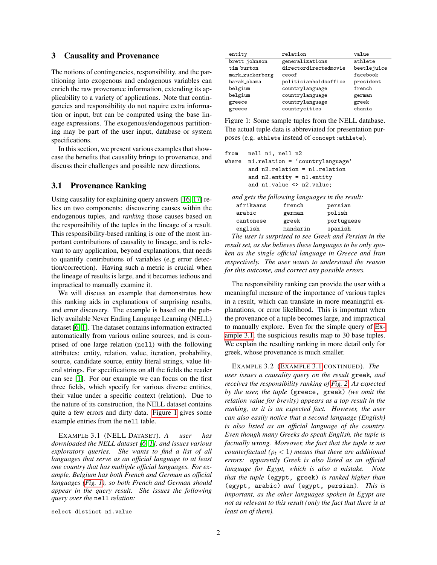## 3 Causality and Provenance

The notions of contingencies, responsibility, and the partitioning into exogenous and endogenous variables can enrich the raw provenance information, extending its applicability to a variety of applications. Note that contingencies and responsibility do not require extra information or input, but can be computed using the base lineage expressions. The exogenous/endogenous partitioning may be part of the user input, database or system specifications.

In this section, we present various examples that showcase the benefits that causality brings to provenance, and discuss their challenges and possible new directions.

### 3.1 Provenance Ranking

Using causality for explaining query answers [\[16,](#page-4-2) [17\]](#page-4-4) relies on two components: discovering causes within the endogenous tuples, and *ranking* those causes based on the responsibility of the tuples in the lineage of a result. This responsibility-based ranking is one of the most important contributions of causality to lineage, and is relevant to any application, beyond explanations, that needs to quantify contributions of variables (e.g error detection/correction). Having such a metric is crucial when the lineage of results is large, and it becomes tedious and impractical to manually examine it.

We will discuss an example that demonstrates how this ranking aids in explanations of surprising results, and error discovery. The example is based on the publicly available Never Ending Language Learning (NELL) dataset [\[6,](#page-3-3) [1\]](#page-3-4). The dataset contains information extracted automatically from various online sources, and is comprised of one large relation (nell) with the following attributes: entity, relation, value, iteration, probability, source, candidate source, entity literal strings, value literal strings. For specifications on all the fields the reader can see [\[1\]](#page-3-4). For our example we can focus on the first three fields, which specify for various diverse entities, their value under a specific context (relation). Due to the nature of its construction, the NELL dataset contains quite a few errors and dirty data. [Figure 1](#page-1-0) gives some example entries from the nell table.

<span id="page-1-1"></span>EXAMPLE 3.1 (NELL DATASET). *A user has downloaded the NELL dataset [\[6,](#page-3-3) [1\]](#page-3-4), and issues various exploratory queries. She wants to find a list of all languages that serve as an official language to at least one country that has multiple official languages. For example, Belgium has both French and German as official languages [\(Fig. 1\)](#page-1-0), so both French and German should appear in the query result. She issues the following query over the* nell *relation:*

select distinct n1.value

| entity          | relation              | value       |
|-----------------|-----------------------|-------------|
| brett_johnson   | generalizations       | athlete     |
| tim_burton      | directordirectedmovie | beetlejuice |
| mark_zuckerberg | ceoof                 | facebook    |
| barak_obama     | politicianholdsoffice | president   |
| belgium         | countrylanguage       | french      |
| belgium         | countrylanguage       | german      |
| greece          | countrylanguage       | greek       |
| greece          | countrycities         | chania      |

<span id="page-1-0"></span>Figure 1: Some sample tuples from the NELL database. The actual tuple data is abbreviated for presentation purposes (e.g. athlete instead of concept:athlete).

```
from nell n1, nell n2
where n1.relation = 'countrylanguage'
       and n2.relation = n1.relation
       and n2.entity = n1.entity
       and n1.value <> n2.value;
```

|           |          | and gets the following languages in the result: |
|-----------|----------|-------------------------------------------------|
| afrikaans | french   | persian                                         |
| arabic    | german   | polish                                          |
| cantonese | greek    | portuguese                                      |
| english   | mandarin | spanish                                         |

*The user is surprised to see Greek and Persian in the result set, as she believes these languages to be only spoken as the single official language in Greece and Iran respectively. The user wants to understand the reason for this outcome, and correct any possible errors.*

The responsibility ranking can provide the user with a meaningful measure of the importance of various tuples in a result, which can translate in more meaningful explanations, or error likelihood. This is important when the provenance of a tuple becomes large, and impractical to manually explore. Even for the simple query of [Ex](#page-1-1)[ample 3.1,](#page-1-1) the suspicious results map to 30 base tuples. We explain the resulting ranking in more detail only for greek, whose provenance is much smaller.

EXAMPLE 3.2 (E[XAMPLE](#page-1-1) 3.1 CONTINUED). *The user issues a causality query on the result* greek*, and receives the responsibility ranking of [Fig. 2.](#page-2-0) As expected by the user, the tuple* (greece, greek) *(we omit the relation value for brevity) appears as a top result in the ranking, as it is an expected fact. However, the user can also easily notice that a second language (English) is also listed as an official language of the country. Even though many Greeks do speak English, the tuple is factually wrong. Moreover, the fact that the tuple is not counterfactual* ( $\rho_t < 1$ ) means that there are additional *errors: apparently Greek is also listed as an official language for Egypt, which is also a mistake. Note that the tuple* (egypt, greek) *is ranked higher than* (egypt, arabic) *and* (egypt, persian)*. This is important, as the other languages spoken in Egypt are not as relevant to this result (only the fact that there is at least on of them).*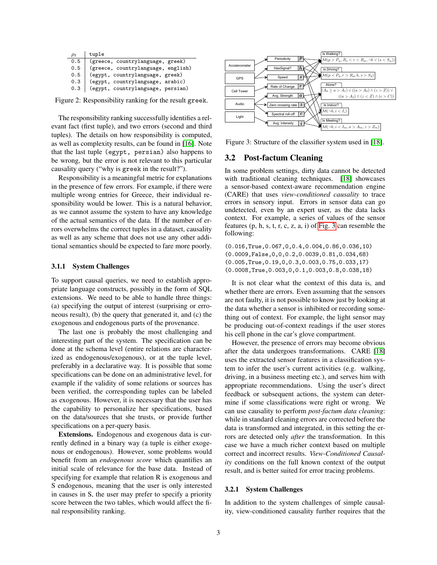| $\rho_t$ | tuple                              |
|----------|------------------------------------|
| 0.5      | (greece, countrylanguage, greek)   |
| 0.5      | (greece, countrylanguage, english) |
| 0.5      | (egypt, countrylanguage, greek)    |
| 0.3      | (egypt, countrylanguage, arabic)   |
| 0.3      | (egypt, countrylanguage, persian)  |

<span id="page-2-0"></span>Figure 2: Responsibility ranking for the result greek.

The responsibility ranking successfully identifies a relevant fact (first tuple), and two errors (second and third tuples). The details on how responsibility is computed, as well as complexity results, can be found in [\[16\]](#page-4-2). Note that the last tuple (egypt, persian) also happens to be wrong, but the error is not relevant to this particular causality query ("why is greek in the result?").

Responsibility is a meaningful metric for explanations in the presence of few errors. For example, if there were multiple wrong entries for Greece, their individual responsibility would be lower. This is a natural behavior, as we cannot assume the system to have any knowledge of the actual semantics of the data. If the number of errors overwhelms the correct tuples in a dataset, causality as well as any scheme that does not use any other additional semantics should be expected to fare more poorly.

#### 3.1.1 System Challenges

To support causal queries, we need to establish appropriate language constructs, possibly in the form of SQL extensions. We need to be able to handle three things: (a) specifying the output of interest (surprising or erroneous result), (b) the query that generated it, and (c) the exogenous and endogenous parts of the provenance.

The last one is probably the most challenging and interesting part of the system. The specification can be done at the schema level (entire relations are characterized as endogenous/exogenous), or at the tuple level, preferably in a declarative way. It is possible that some specifications can be done on an administrative level, for example if the validity of some relations or sources has been verified, the corresponding tuples can be labeled as exogenous. However, it is necessary that the user has the capability to personalize her specifications, based on the data/sources that she trusts, or provide further specifications on a per-query basis.

Extensions. Endogenous and exogenous data is currently defined in a binary way (a tuple is either exogenous or endogenous). However, some problems would benefit from an *endogenous score* which quantifies an initial scale of relevance for the base data. Instead of specifying for example that relation R is exogenous and S endogenous, meaning that the user is only interested in causes in S, the user may prefer to specify a priority score between the two tables, which would affect the final responsibility ranking.



<span id="page-2-1"></span>Figure 3: Structure of the classifier system used in [\[18\]](#page-4-12).

## 3.2 Post-factum Cleaning

In some problem settings, dirty data cannot be detected with traditional cleaning techniques. [\[18\]](#page-4-12) showcases a sensor-based context-aware recommendation engine (CARE) that uses *view-conditioned causality* to trace errors in sensory input. Errors in sensor data can go undetected, even by an expert user, as the data lacks context. For example, a series of values of the sensor features (p, h, s, t, r, c, z, a, i) of [Fig. 3](#page-2-1) can resemble the following:

(0.016,True,0.067,0,0.4,0.004,0.86,0.036,10) (0.0009,False,0,0,0.2,0.0039,0.81,0.034,68) (0.005,True,0.19,0,0.3,0.003,0.75,0.033,17) (0.0008,True,0.003,0,0.1,0.003,0.8,0.038,18)

It is not clear what the context of this data is, and whether there are errors. Even assuming that the sensors are not faulty, it is not possible to know just by looking at the data whether a sensor is inhibited or recording something out of context. For example, the light sensor may be producing out-of-context readings if the user stores his cell phone in the car's glove compartment.

However, the presence of errors may become obvious after the data undergoes transformations. CARE [\[18\]](#page-4-12) uses the extracted sensor features in a classification system to infer the user's current activities (e.g. walking, driving, in a business meeting etc.), and serves him with appropriate recommendations. Using the user's direct feedback or subsequent actions, the system can determine if some classifications were right or wrong. We can use causality to perform *post-factum data cleaning*: while in standard cleaning errors are corrected before the data is transformed and integrated, in this setting the errors are detected only *after* the transformation. In this case we have a much richer context based on multiple correct and incorrect results. *View-Conditioned Causality* conditions on the full known context of the output result, and is better suited for error tracing problems.

#### 3.2.1 System Challenges

In addition to the system challenges of simple causality, view-conditioned causality further requires that the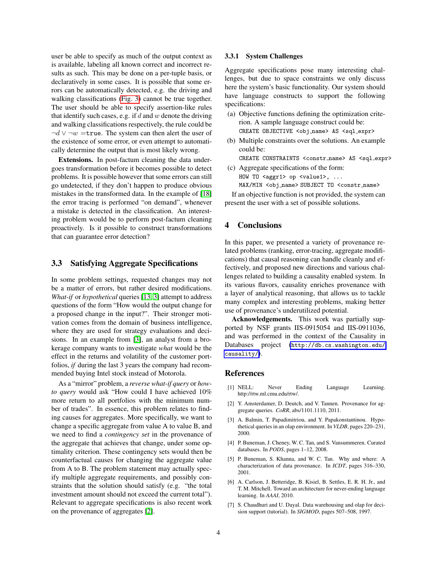user be able to specify as much of the output context as is available, labeling all known correct and incorrect results as such. This may be done on a per-tuple basis, or declaratively in some cases. It is possible that some errors can be automatically detected, e.g. the driving and walking classifications [\(Fig. 3\)](#page-2-1) cannot be true together. The user should be able to specify assertion-like rules that identify such cases, e.g. if  $d$  and  $w$  denote the driving and walking classifications respectively, the rule could be  $\neg d \lor \neg w =$ true. The system can then alert the user of the existence of some error, or even attempt to automatically determine the output that is most likely wrong.

Extensions. In post-factum cleaning the data undergoes transformation before it becomes possible to detect problems. It is possible however that some errors can still go undetected, if they don't happen to produce obvious mistakes in the transformed data. In the example of [\[18\]](#page-4-12) the error tracing is performed "on demand", whenever a mistake is detected in the classification. An interesting problem would be to perform post-factum cleaning proactively. Is it possible to construct transformations that can guarantee error detection?

#### 3.3 Satisfying Aggregate Specifications

In some problem settings, requested changes may not be a matter of errors, but rather desired modifications. *What-if* or *hypothetical* queries [\[13,](#page-4-13) [3\]](#page-3-5) attempt to address questions of the form "How would the output change for a proposed change in the input?". Their stronger motivation comes from the domain of business intelligence, where they are used for strategy evaluations and decisions. In an example from [\[3\]](#page-3-5), an analyst from a brokerage company wants to investigate *what* would be the effect in the returns and volatility of the customer portfolios, *if* during the last 3 years the company had recommended buying Intel stock instead of Motorola.

As a "mirror" problem, a *reverse what-if query* or *howto query* would ask "How could I have achieved 10% more return to all portfolios with the minimum number of trades". In essence, this problem relates to finding causes for aggregates. More specifically, we want to change a specific aggregate from value A to value B, and we need to find a *contingency set* in the provenance of the aggregate that achieves that change, under some optimality criterion. These contingency sets would then be counterfactual causes for changing the aggregate value from A to B. The problem statement may actually specify multiple aggregate requirements, and possibly constraints that the solution should satisfy (e.g. "the total investment amount should not exceed the current total"). Relevant to aggregate specifications is also recent work on the provenance of aggregates [\[2\]](#page-3-6).

#### 3.3.1 System Challenges

Aggregate specifications pose many interesting challenges, but due to space constraints we only discuss here the system's basic functionality. Our system should have language constructs to support the following specifications:

- (a) Objective functions defining the optimization criterion. A sample language construct could be: CREATE OBJECTIVE <obj\_name> AS <sql\_expr>
- (b) Multiple constraints over the solutions. An example could be:

CREATE CONSTRAINTS <constr name> AS <sql expr>

(c) Aggregate specifications of the form: HOW TO <aggr1> op <value1>, ... MAX/MIN <obj name> SUBJECT TO <constr name>

If an objective function is not provided, the system can present the user with a set of possible solutions.

## 4 Conclusions

In this paper, we presented a variety of provenance related problems (ranking, error-tracing, aggregate modifications) that causal reasoning can handle cleanly and effectively, and proposed new directions and various challenges related to building a causality enabled system. In its various flavors, causality enriches provenance with a layer of analytical reasoning, that allows us to tackle many complex and interesting problems, making better use of provenance's underutilized potential.

Acknowledgements. This work was partially supported by NSF grants IIS-0915054 and IIS-0911036, and was performed in the context of the Causality in Databases project ([http://db.cs.washington.edu/](http://db.cs.washington.edu/causality/) [causality/](http://db.cs.washington.edu/causality/)).

#### References

- <span id="page-3-4"></span>[1] NELL: Never Ending Language Learning. http://rtw.ml.cmu.edu/rtw/.
- <span id="page-3-6"></span>[2] Y. Amsterdamer, D. Deutch, and V. Tannen. Provenance for aggregate queries. *CoRR*, abs/1101.1110, 2011.
- <span id="page-3-5"></span>[3] A. Balmin, T. Papadimitriou, and Y. Papakonstantinou. Hypothetical queries in an olap environment. In *VLDB*, pages 220–231, 2000.
- <span id="page-3-1"></span>[4] P. Buneman, J. Cheney, W. C. Tan, and S. Vansummeren. Curated databases. In *PODS*, pages 1–12, 2008.
- <span id="page-3-2"></span>[5] P. Buneman, S. Khanna, and W. C. Tan. Why and where: A characterization of data provenance. In *ICDT*, pages 316–330, 2001.
- <span id="page-3-3"></span>[6] A. Carlson, J. Betteridge, B. Kisiel, B. Settles, E. R. H. Jr., and T. M. Mitchell. Toward an architecture for never-ending language learning. In *AAAI*, 2010.
- <span id="page-3-0"></span>[7] S. Chaudhuri and U. Dayal. Data warehousing and olap for decision support (tutorial). In *SIGMOD*, pages 507–508, 1997.